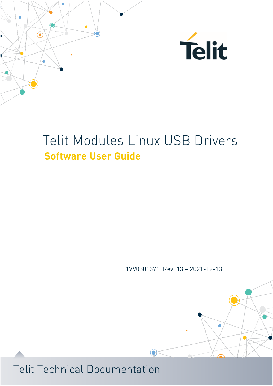



1VV0301371 Rev. 13 – 2021-12-13

 $\bigodot$ 

 $\overline{\phantom{a}}$ 

Ä

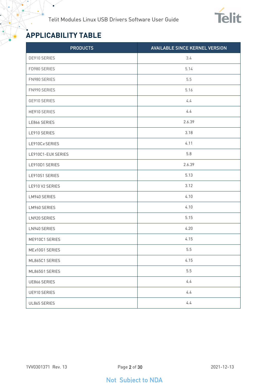

## <span id="page-1-0"></span>**APPLICABILITY TABLE**

¥

| <b>PRODUCTS</b>    | <b>AVAILABLE SINCE KERNEL VERSION</b> |
|--------------------|---------------------------------------|
| DE910 SERIES       | 3.4                                   |
| FD980 SERIES       | 5.14                                  |
| FN980 SERIES       | 5.5                                   |
| FN990 SERIES       | 5.16                                  |
| GE910 SERIES       | 4.4                                   |
| HE910 SERIES       | 4.4                                   |
| LE866 SERIES       | 2.6.39                                |
| LE910 SERIES       | 3.18                                  |
| LE910Cx SERIES     | 4.11                                  |
| LE910C1-EUX SERIES | 5.8                                   |
| LE910D1 SERIES     | 2.6.39                                |
| LE910S1 SERIES     | 5.13                                  |
| LE910 V2 SERIES    | 3.12                                  |
| LM940 SERIES       | 4.10                                  |
| LM960 SERIES       | 4.10                                  |
| LN920 SERIES       | 5.15                                  |
| LN940 SERIES       | 4.20                                  |
| ME910C1 SERIES     | 4.15                                  |
| MEx10G1 SERIES     | $5.5\,$                               |
| ML865C1 SERIES     | 4.15                                  |
| ML865G1 SERIES     | 5.5                                   |
| UE866 SERIES       | 4.4                                   |
| UE910 SERIES       | 4.4                                   |
| UL865 SERIES       | 4.4                                   |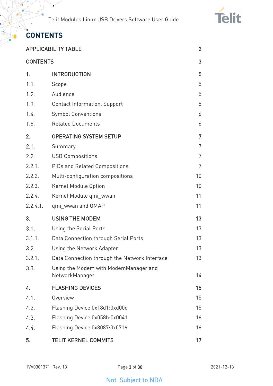

## <span id="page-2-0"></span>**CONTENTS**

 $\bullet$ 

|                 | <b>APPLICABILITY TABLE</b>                              | $\overline{2}$ |
|-----------------|---------------------------------------------------------|----------------|
| <b>CONTENTS</b> |                                                         | 3              |
| 1.              | <b>INTRODUCTION</b>                                     | 5              |
| 1.1.            | Scope                                                   | 5              |
| 1.2.            | Audience                                                | 5              |
| 1.3.            | <b>Contact Information, Support</b>                     | 5              |
| 1.4.            | <b>Symbol Conventions</b>                               | 6              |
| 1.5.            | <b>Related Documents</b>                                | 6              |
| 2.              | <b>OPERATING SYSTEM SETUP</b>                           | 7              |
| 2.1.            | Summary                                                 | 7              |
| 2.2.            | <b>USB Compositions</b>                                 | 7              |
| 2.2.1.          | <b>PIDs and Related Compositions</b>                    | 7              |
| 2.2.2.          | Multi-configuration compositions                        | 10             |
| 2.2.3.          | Kernel Module Option                                    | 10             |
| 2.2.4.          | Kernel Module qmi_wwan                                  | 11             |
| 2.2.4.1.        | qmi_wwan and QMAP                                       | 11             |
| 3.              | <b>USING THE MODEM</b>                                  | 13             |
| 3.1.            | Using the Serial Ports                                  | 13             |
| 3.1.1.          | Data Connection through Serial Ports                    | 13             |
| 3.2.            | Using the Network Adapter                               | 13             |
| 3.2.1.          | Data Connection through the Network Interface           | 13             |
| 3.3.            | Using the Modem with ModemManager and<br>NetworkManager | 14             |
| 4.              | <b>FLASHING DEVICES</b>                                 | 15             |
| 4.1.            | Overview                                                | 15             |
| 4.2.            | Flashing Device 0x18d1:0xd00d                           | 15             |
| 4.3.            | Flashing Device 0x058b:0x0041                           | 16             |
| 4.4.            | Flashing Device 0x8087:0x0716                           | 16             |
| 5.              | <b>TELIT KERNEL COMMITS</b>                             | 17             |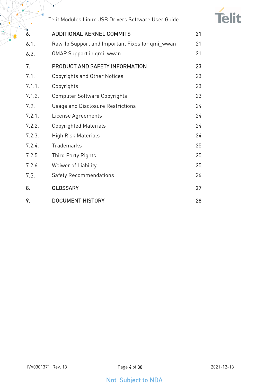

| 6.     | <b>ADDITIONAL KERNEL COMMITS</b>                | 21 |
|--------|-------------------------------------------------|----|
| 6.1.   | Raw-Ip Support and Important Fixes for qmi_wwan | 21 |
| 6.2.   | <b>QMAP Support in qmi_wwan</b>                 | 21 |
| 7.     | PRODUCT AND SAFETY INFORMATION                  | 23 |
| 7.1.   | <b>Copyrights and Other Notices</b>             | 23 |
| 7.1.1. | Copyrights                                      | 23 |
| 7.1.2. | <b>Computer Software Copyrights</b>             | 23 |
| 7.2.   | <b>Usage and Disclosure Restrictions</b>        | 24 |
| 7.2.1. | License Agreements                              | 24 |
| 7.2.2. | <b>Copyrighted Materials</b>                    | 24 |
| 7.2.3. | <b>High Risk Materials</b>                      | 24 |
| 7.2.4. | <b>Trademarks</b>                               | 25 |
| 7.2.5. | <b>Third Party Rights</b>                       | 25 |
| 7.2.6. | Waiwer of Liability                             | 25 |
| 7.3.   | <b>Safety Recommendations</b>                   | 26 |
| 8.     | <b>GLOSSARY</b>                                 | 27 |
| 9.     | <b>DOCUMENT HISTORY</b>                         | 28 |

 $\bullet$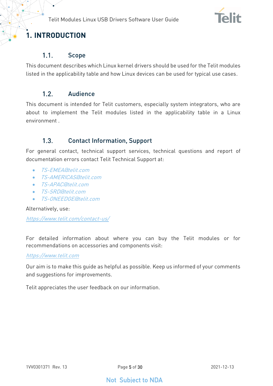

## <span id="page-4-1"></span><span id="page-4-0"></span>**1. INTRODUCTION**

#### $1.1.$ Scope

<span id="page-4-2"></span>This document describes which Linux kernel drivers should be used for the Telit modules listed in the applicability table and how Linux devices can be used for typical use cases.

#### $1.2<sub>1</sub>$ Audience

This document is intended for Telit customers, especially system integrators, who are about to implement the Telit modules listed in the applicability table in a Linux environment .

#### <span id="page-4-3"></span> $1.3<sub>1</sub>$ Contact Information, Support

For general contact, technical support services, technical questions and report of documentation errors contact Telit Technical Support at:

- [TS-EMEA@telit.com](mailto:TS-EMEA@telit.com)
- [TS-AMERICAS@telit.com](mailto:TS-AMERICAS@telit.com)
- T.S-APAC@telit.com
- [TS-SRD@telit.com](mailto:TS-SRD@telit.com)
- TS-ONEEDGE@telit.com

Alternatively, use:

<https://www.telit.com/contact-us/>

For detailed information about where you can buy the Telit modules or for recommendations on accessories and components visit:

#### [https://www.telit.com](https://www.telit.com/)

Our aim is to make this guide as helpful as possible. Keep us informed of your comments and suggestions for improvements.

Telit appreciates the user feedback on our information.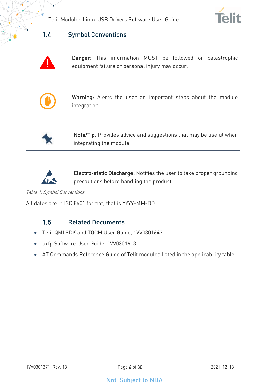



#### <span id="page-5-0"></span> $1.4.$ Symbol Conventions

Danger: This information MUST be followed or catastrophic equipment failure or personal injury may occur.



Warning: Alerts the user on important steps about the module integration.



Note/Tip: Provides advice and suggestions that may be useful when integrating the module.



Electro-static Discharge: Notifies the user to take proper grounding precautions before handling the product.

Table 1: Symbol Conventions

<span id="page-5-1"></span>All dates are in ISO 8601 format, that is YYYY-MM-DD.

#### $1.5.$ Related Documents

- Telit QMI SDK and TQCM User Guide, 1VV0301643
- uxfp Software User Guide, 1VV0301613
- AT Commands Reference Guide of Telit modules listed in the applicability table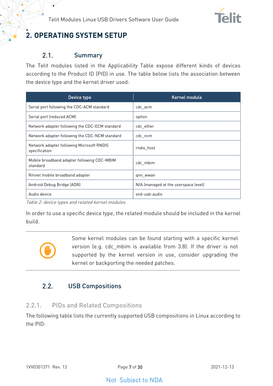

## <span id="page-6-0"></span>**2. OPERATING SYSTEM SETUP**

#### <span id="page-6-1"></span> $2.1.$ Summary

The Telit modules listed in the Applicability Table expose different kinds of devices according to the Product ID (PID) in use. The table below lists the association between the device type and the kernel driver used:

| Device type                                                | Kernel module                        |
|------------------------------------------------------------|--------------------------------------|
| Serial port following the CDC-ACM standard                 | cdc acm                              |
| Serial port (reduced ACM)                                  | option                               |
| Network adapter following the CDC-ECM standard             | cdc ether                            |
| Network adapter following the CDC-NCM standard             | cdc_ncm                              |
| Network adapter following Microsoft RNDIS<br>specification | rndis host                           |
| Mobile broadband adapter following CDC-MBIM<br>standard    | cdc mbim                             |
| Rmnet mobile broadband adapter                             | qmi wwan                             |
| Android Debug Bridge (ADB)                                 | N/A (managed at the userspace level) |
| Audio device                                               | snd-usb-audio                        |

Table 2: device types and related kernel modules

In order to use a specific device type, the related module should be included in the kernel build.



Some kernel modules can be found starting with a specific kernel version (e.g. cdc\_mbim is available from 3.8). If the driver is not supported by the kernel version in use, consider upgrading the kernel or backporting the needed patches.

#### <span id="page-6-2"></span> $2.2.$ USB Compositions

### <span id="page-6-3"></span>2.2.1. PIDs and Related Compositions

The following table lists the currently supported USB compositions in Linux according to the PID: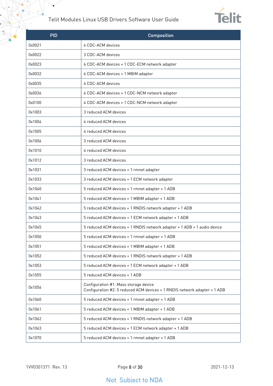$\bullet$ 



| <b>PID</b> | <b>Composition</b>                                                                                                 |
|------------|--------------------------------------------------------------------------------------------------------------------|
| 0x0021     | 6 CDC-ACM devices                                                                                                  |
| 0x0022     | 3 CDC-ACM devices                                                                                                  |
| 0x0023     | 6 CDC-ACM devices + 1 CDC-ECM network adapter                                                                      |
| 0x0032     | 6 CDC-ACM devices + 1 MBIM adapter                                                                                 |
| 0x0035     | 6 CDC-ACM devices                                                                                                  |
| 0x0036     | 6 CDC-ACM devices + 1 CDC-NCM network adapter                                                                      |
| 0x0100     | 4 CDC-ACM devices + 1 CDC-NCM network adapter                                                                      |
| 0x1003     | 3 reduced ACM devices                                                                                              |
| 0x1004     | 4 reduced ACM devices                                                                                              |
| 0x1005     | 4 reduced ACM devices                                                                                              |
| 0x1006     | 3 reduced ACM devices                                                                                              |
| 0x1010     | 4 reduced ACM devices                                                                                              |
| 0x1012     | 3 reduced ACM devices                                                                                              |
| 0x1031     | 3 reduced ACM devices + 1 rmnet adapter                                                                            |
| 0x1033     | 3 reduced ACM devices + 1 ECM network adapter                                                                      |
| 0x1040     | 5 reduced ACM devices + 1 rmnet adapter + 1 ADB                                                                    |
| 0x1041     | 5 reduced ACM devices + 1 MBIM adapter + 1 ADB                                                                     |
| 0x1042     | 5 reduced ACM devices + 1 RNDIS network adapter + 1 ADB                                                            |
| 0x1043     | 5 reduced ACM devices + 1 ECM network adapter + 1 ADB                                                              |
| 0x1045     | 5 reduced ACM devices + 1 RNDIS network adapter + 1 ADB + 1 audio device                                           |
| 0x1050     | 5 reduced ACM devices + 1 rmnet adapter + 1 ADB                                                                    |
| 0x1051     | 5 reduced ACM devices + 1 MBIM adapter + 1 ADB                                                                     |
| 0x1052     | 5 reduced ACM devices + 1 RNDIS network adapter + 1 ADB                                                            |
| 0x1053     | 5 reduced ACM devices + 1 ECM network adapter + 1 ADB                                                              |
| 0x1055     | 5 reduced ACM devices + 1 ADB                                                                                      |
| 0x1056     | Configuration #1: Mass storage device<br>Configuration #2: 5 reduced ACM devices + 1 RNDIS network adapter + 1 ADB |
| 0x1060     | 5 reduced ACM devices + 1 rmnet adapter + 1 ADB                                                                    |
| 0x1061     | 5 reduced ACM devices + 1 MBIM adapter + 1 ADB                                                                     |
| 0x1062     | 5 reduced ACM devices + 1 RNDIS network adapter + 1 ADB                                                            |
| 0x1063     | 5 reduced ACM devices + 1 ECM network adapter + 1 ADB                                                              |
| 0x1070     | 5 reduced ACM devices + 1 rmnet adapter + 1 ADB                                                                    |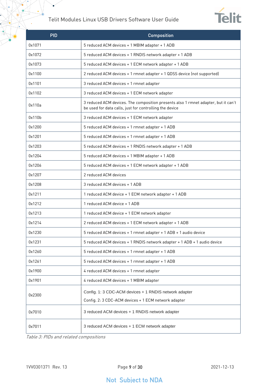$\bullet$ 



| <b>PID</b> | Composition                                                                                                                                   |
|------------|-----------------------------------------------------------------------------------------------------------------------------------------------|
| 0x1071     | 5 reduced ACM devices + 1 MBIM adapter + 1 ADB                                                                                                |
| 0x1072     | 5 reduced ACM devices + 1 RNDIS network adapter + 1 ADB                                                                                       |
| 0x1073     | 5 reduced ACM devices + 1 ECM network adapter + 1 ADB                                                                                         |
| 0x1100     | 2 reduced ACM devices + 1 rmnet adapter + 1 QDSS device (not supported)                                                                       |
| 0x1101     | 3 reduced ACM devices + 1 rmnet adapter                                                                                                       |
| 0x1102     | 3 reduced ACM devices + 1 ECM network adapter                                                                                                 |
| 0x110a     | 3 reduced ACM devices. The composition presents also 1 rmnet adapter, but it can't<br>be used for data calls, just for controlling the device |
| 0x110b     | 3 reduced ACM devices + 1 ECM network adapter                                                                                                 |
| 0x1200     | 5 reduced ACM devices + 1 rmnet adapter + 1 ADB                                                                                               |
| 0x1201     | 5 reduced ACM devices + 1 rmnet adapter + 1 ADB                                                                                               |
| 0x1203     | 5 reduced ACM devices + 1 RNDIS network adapter + 1 ADB                                                                                       |
| 0x1204     | 5 reduced ACM devices + 1 MBIM adapter + 1 ADB                                                                                                |
| 0x1206     | 5 reduced ACM devices + 1 ECM network adapter + 1 ADB                                                                                         |
| 0x1207     | 2 reduced ACM devices                                                                                                                         |
| 0x1208     | 3 reduced ACM devices + 1 ADB                                                                                                                 |
| 0x1211     | 1 reduced ACM device + 1 ECM network adapter + 1 ADB                                                                                          |
| 0x1212     | 1 reduced ACM device + 1 ADB                                                                                                                  |
| 0x1213     | 1 reduced ACM device + 1 ECM network adapter                                                                                                  |
| 0x1214     | 2 reduced ACM devices + 1 ECM network adapter + 1 ADB                                                                                         |
| 0x1230     | 5 reduced ACM devices + 1 rmnet adapter + 1 ADB + 1 audio device                                                                              |
| 0x1231     | 5 reduced ACM devices + 1 RNDIS network adapter + 1 ADB + 1 audio device                                                                      |
| 0x1260     | 5 reduced ACM devices + 1 rmnet adapter + 1 ADB                                                                                               |
| 0x1261     | 5 reduced ACM devices + 1 rmnet adapter + 1 ADB                                                                                               |
| 0x1900     | 4 reduced ACM devices + 1 rmnet adapter                                                                                                       |
| 0x1901     | 4 reduced ACM devices + 1 MBIM adapter                                                                                                        |
| 0x2300     | Config. 1: 3 CDC-ACM devices + 1 RNDIS network adapter                                                                                        |
|            | Config. 2: 3 CDC-ACM devices + 1 ECM network adapter                                                                                          |
| 0x7010     | 3 reduced ACM devices + 1 RNDIS network adapter                                                                                               |
| 0x7011     | 3 reduced ACM devices + 1 ECM network adapter                                                                                                 |

Table 3: PIDs and related compositions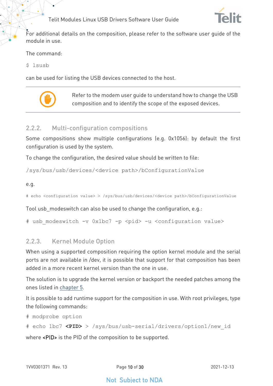

For additional details on the composition, please refer to the software user guide of the module in use.

The command:

\$ lsusb

can be used for listing the USB devices connected to the host.



Refer to the modem user guide to understand how to change the USB composition and to identify the scope of the exposed devices.

#### <span id="page-9-0"></span>2.2.2. Multi-configuration compositions

Some compositions show multiple configurations (e.g. 0x1056): by default the first configuration is used by the system.

To change the configuration, the desired value should be written to file:

/sys/bus/usb/devices/<device path>/bConfigurationValue

e.g.

# echo <configuration value> > /sys/bus/usb/devices/<device path>/bConfigurationValue

Tool usb\_modeswitch can also be used to change the configuration, e.g.:

# usb modeswitch -v 0x1bc7 -p <pid> -u <configuration value>

#### <span id="page-9-1"></span>2.2.3. Kernel Module Option

When using a supported composition requiring the option kernel module and the serial ports are not available in /dev, it is possible that support for that composition has been added in a more recent kernel version than the one in use.

The solution is to upgrade the kernel version or backport the needed patches among the ones listed in [chapter 5.](#page-16-0)

It is possible to add runtime support for the composition in use. With root privileges, type the following commands:

# modprobe option

# echo 1bc7 **<PID>** > /sys/bus/usb-serial/drivers/option1/new\_id

where <PID> is the PID of the composition to be supported.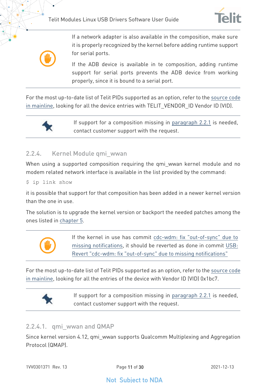



If a network adapter is also available in the composition, make sure it is properly recognized by the kernel before adding runtime support for serial ports.

If the ADB device is available in te composition, adding runtime support for serial ports prevents the ADB device from working properly, since it is bound to a serial port.

For the most up-to-date list of Telit PIDs supported as an option, refer to the [source code](https://git.kernel.org/pub/scm/linux/kernel/git/torvalds/linux.git/tree/drivers/usb/serial/option.c)  [in mainline,](https://git.kernel.org/pub/scm/linux/kernel/git/torvalds/linux.git/tree/drivers/usb/serial/option.c) looking for all the device entries with TELIT VENDOR ID Vendor ID (VID).



If support for a composition missing in [paragraph 2.2.1](#page-6-3) is needed, contact customer support with the request.

### <span id="page-10-0"></span>2.2.4. Kernel Module qmi\_wwan

When using a supported composition requiring the qmi wwan kernel module and no modem related network interface is available in the list provided by the command:

#### \$ ip link show

it is possible that support for that composition has been added in a newer kernel version than the one in use.

The solution is to upgrade the kernel version or backport the needed patches among the ones listed in [chapter 5.](#page-16-0)



If the kernel in use has commit [cdc-wdm: fix "out-of-sync" due to](https://git.kernel.org/pub/scm/linux/kernel/git/torvalds/linux.git/commit/drivers/usb/class/cdc-wdm.c?id=833415a3e781a26fe480a34d45086bdb4fe1e4c0)  [missing notifications,](https://git.kernel.org/pub/scm/linux/kernel/git/torvalds/linux.git/commit/drivers/usb/class/cdc-wdm.c?id=833415a3e781a26fe480a34d45086bdb4fe1e4c0) it should be reverted as done in commit [USB:](https://git.kernel.org/pub/scm/linux/kernel/git/torvalds/linux.git/commit/drivers/usb/class/cdc-wdm.c?id=19445816996d1a89682c37685fe95959631d9f32)  [Revert "cdc-wdm: fix "out-of-sync" due to missing notifications"](https://git.kernel.org/pub/scm/linux/kernel/git/torvalds/linux.git/commit/drivers/usb/class/cdc-wdm.c?id=19445816996d1a89682c37685fe95959631d9f32)

For the most up-to-date list of Telit PIDs supported as an option, refer to the [source code](https://git.kernel.org/pub/scm/linux/kernel/git/torvalds/linux.git/tree/drivers/net/usb/qmi_wwan.c)  [in mainline,](https://git.kernel.org/pub/scm/linux/kernel/git/torvalds/linux.git/tree/drivers/net/usb/qmi_wwan.c) looking for all the entries of the device with Vendor ID (VID) 0x1bc7.



If support for a composition missing in [paragraph 2.2.1](#page-6-3) is needed, contact customer support with the request.

### <span id="page-10-1"></span>2.2.4.1. qmi\_wwan and QMAP

Since kernel version 4.12, qmi\_wwan supports Qualcomm Multiplexing and Aggregation Protocol (QMAP).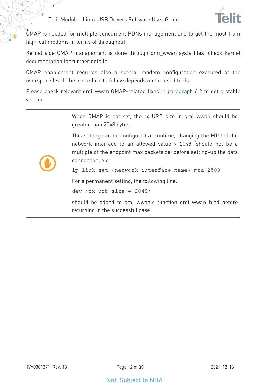

QMAP is needed for multiple concurrent PDNs management and to get the most from high-cat modems in terms of throughput.

Kernel side QMAP management is done through qmi\_wwan sysfs files: check [kernel](https://git.kernel.org/pub/scm/linux/kernel/git/torvalds/linux.git/tree/Documentation/ABI/testing/sysfs-class-net-qmi)  [documentation](https://git.kernel.org/pub/scm/linux/kernel/git/torvalds/linux.git/tree/Documentation/ABI/testing/sysfs-class-net-qmi) for further details.

QMAP enablement requires also a special modem configuration executed at the userspace level: the procedure to follow depends on the used tools.

Please check relevant qmi\_wwan QMAP-related fixes in [paragraph 6.2](#page-20-2) to get a stable version.

> When QMAP is not set, the rx URB size in qmi wwan should be greater than 2048 bytes.

> This setting can be configured at runtime, changing the MTU of the network interface to an allowed value > 2048 (should not be a multiple of the endpoint max packetsize) before setting-up the data connection, e.g.

ip link set <network interface name> mtu 2500

For a permanent setting, the following line:

dev- $>rx$  urb size = 2048;

should be added to qmi\_wwan.c function qmi\_wwan\_bind before returning in the successful case.

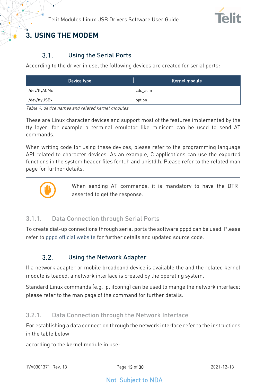

## <span id="page-12-1"></span><span id="page-12-0"></span>**3. USING THE MODEM**

#### $3.1$ Using the Serial Ports

According to the driver in use, the following devices are created for serial ports:

| Device type  | Kernel module |
|--------------|---------------|
| /dev/ttyACMx | cdc acm       |
| /dev/ttyUSBx | option        |

Table 4: device names and related kernel modules

These are Linux character devices and support most of the features implemented by the tty layer: for example a terminal emulator like minicom can be used to send AT commands.

When writing code for using these devices, please refer to the programming language API related to character devices. As an example, C applications can use the exported functions in the system header files fcntl.h and unistd.h. Please refer to the related man page for further details.



When sending AT commands, it is mandatory to have the DTR asserted to get the response.

### <span id="page-12-2"></span>3.1.1. Data Connection through Serial Ports

<span id="page-12-3"></span>To create dial-up connections through serial ports the software pppd can be used. Please refer to [pppd official website](https://ppp.samba.org/) for further details and updated source code.

#### $3.2.$ Using the Network Adapter

If a network adapter or mobile broadband device is available the and the related kernel module is loaded, a network interface is created by the operating system.

Standard Linux commands (e.g. ip, ifconfig) can be used to mange the network interface: please refer to the man page of the command for further details.

### <span id="page-12-4"></span>3.2.1. Data Connection through the Network Interface

For establishing a data connection through the network interface refer to the instructions in the table below

according to the kernel module in use: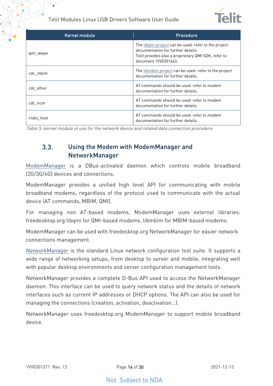

| Kernel module | Procedure                                                                                                                                                                 |
|---------------|---------------------------------------------------------------------------------------------------------------------------------------------------------------------------|
| qmi_wwan      | The libami project can be used: refer to the project<br>documentation for further details.<br>Telit provides also a proprietary QMI SDK, refer to<br>document 1VV0301643. |
| cdc mbim      | The libmbim project can be used: refer to the project<br>documentation for further details.                                                                               |
| cdc ether     | AT commands should be used: refer to modem<br>documentation for further details.                                                                                          |
| cdc ncm       | AT commands should be used: refer to modem<br>documentation for further details.                                                                                          |
| rndis host    | AT commands should be used: refer to modem<br>documentation for further details.                                                                                          |

<span id="page-13-0"></span>Table 5: kernel module in use for the network device and related data connection procedure

#### $3.3.$ Using the Modem with ModemManager and NetworkManager

[ModemManager](https://gitlab.freedesktop.org/mobile-broadband/ModemManager/-/blob/mm-1-14/NEWS) is a DBus-activated daemon which controls mobile broadband (2G/3G/4G) devices and connections.

ModemManager provides a unified high level API for communicating with mobile broadband modems, regardless of the protocol used to communicate with the actual device (AT commands, MBIM, QMI).

For managing non AT-based modems, ModemManager uses external libraries: freedesktop.org libqmi for QMI-based modems, libmbim for MBIM-based modems.

ModemManager can be used with freedesktop.org NetworkManager for easier network connections management.

[NetworkManager](https://gitlab.freedesktop.org/NetworkManager/NetworkManager) is the standard Linux network configuration tool suite. It supports a wide range of networking setups, from desktop to server and mobile, integrating well with popular desktop environments and server configuration management tools.

NetworkManager provides a complete D-Bus API used to access the NetworkManager daemon. This interface can be used to query network status and the details of network interfaces such as current IP addresses or DHCP options. The API can also be used for managing the connections (creation, activation, deactivation…).

NetworkManager uses freedesktop.org ModemManager to support mobile broadband device.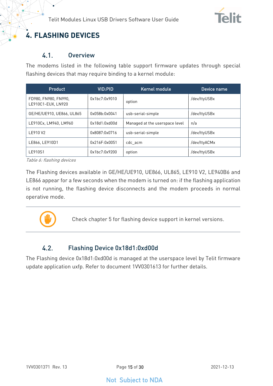

## <span id="page-14-1"></span><span id="page-14-0"></span>**4. FLASHING DEVICES**

#### $4.1.$ **Overview**

The modems listed in the following table support firmware updates through special flashing devices that may require binding to a kernel module:

| Product                                    | VID:PID       | Kernel module                  | Device name  |
|--------------------------------------------|---------------|--------------------------------|--------------|
| FD980, FN980, FN990,<br>LE910C1-EUX, LN920 | 0x1bc7:0x9010 | option                         | /dev/ttyUSBx |
| GE/HE/UE910, UE866, UL865                  | 0x058b:0x0041 | usb-serial-simple              | /dev/ttyUSBx |
| LE910Cx. LM940. LM960                      | 0x18d1:0xd00d | Managed at the userspace level | n/a          |
| LE910 V2                                   | 0x8087:0x0716 | usb-serial-simple              | /dev/ttyUSBx |
| LE866, LE910D1                             | 0x216F:0x0051 | cdc acm                        | /dev/ttyACMx |
| LE910S1                                    | 0x1bc7:0x9200 | option                         | /dev/ttyUSBx |

Table 6: flashing devices

The Flashing devices available in GE/HE/UE910, UE866, UL865, LE910 V2, LE940B6 and LE866 appear for a few seconds when the modem is turned on: if the flashing application is not running, the flashing device disconnects and the modem proceeds in normal operative mode.



Check chapter 5 for flashing device support in kernel versions.

#### <span id="page-14-2"></span> $4.2.$ Flashing Device 0x18d1:0xd00d

The Flashing device 0x18d1:0xd00d is managed at the userspace level by Telit firmware update application uxfp. Refer to document 1VV0301613 for further details.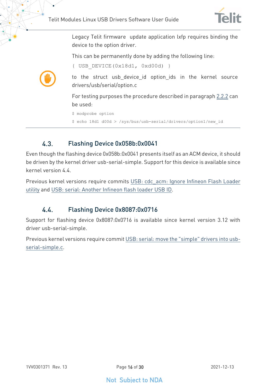{ USB\_DEVICE(0x18d1, 0xd00d) }



Legacy Telit firmware update application lxfp requires binding the device to the option driver.

This can be permanently done by adding the following line:



to the struct usb\_device\_id option\_ids in the kernel source drivers/usb/serial/option.c

For testing purposes the procedure described in paragraph [2.2.2](#page-9-0) can be used:

```
$ modprobe option
```
\$ echo 18d1 d00d > /sys/bus/usb-serial/drivers/option1/new\_id

#### <span id="page-15-0"></span> $4.3$ Flashing Device 0x058b:0x0041

Even though the flashing device 0x058b:0x0041 presents itself as an ACM device, it should be driven by the kernel driver usb-serial-simple. Support for this device is available since kernel version 4.4.

<span id="page-15-1"></span>Previous kernel versions require commits [USB: cdc\\_acm: Ignore Infineon Flash Loader](https://git.kernel.org/pub/scm/linux/kernel/git/torvalds/linux.git/commit/drivers/usb/class/cdc-acm.c?id=f33a7f72e5fc033daccbb8d4753d7c5c41a4d67b)  [utility](https://git.kernel.org/pub/scm/linux/kernel/git/torvalds/linux.git/commit/drivers/usb/class/cdc-acm.c?id=f33a7f72e5fc033daccbb8d4753d7c5c41a4d67b) and [USB: serial: Another Infineon flash loader USB ID.](https://git.kernel.org/pub/scm/linux/kernel/git/torvalds/linux.git/commit/drivers/usb/serial/usb-serial-simple.c?id=a0e80fbd56b4573de997c9a088a33abbc1121400)

#### 44 Flashing Device 0x8087:0x0716

Support for flashing device 0x8087:0x0716 is available since kernel version 3.12 with driver usb-serial-simple.

Previous kernel versions require commi[t USB: serial: move the "simple" drivers into usb](https://git.kernel.org/pub/scm/linux/kernel/git/torvalds/linux.git/commit/drivers/usb/serial/usb-serial-simple.c?id=1f9230713af17657f7ed503a12ddd739d0f48089)[serial-simple.c.](https://git.kernel.org/pub/scm/linux/kernel/git/torvalds/linux.git/commit/drivers/usb/serial/usb-serial-simple.c?id=1f9230713af17657f7ed503a12ddd739d0f48089)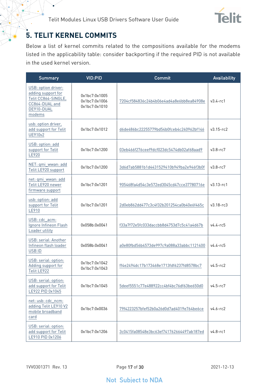

## <span id="page-16-0"></span>**5. TELIT KERNEL COMMITS**

Below a list of kernel commits related to the compositions available for the modems listed in the applicability table: consider backporting if the required PID is not available in the used kernel version.

| <b>Summary</b>                                                                                             | <b>VID:PID</b>                                  | Commit                                   | <b>Availability</b> |
|------------------------------------------------------------------------------------------------------------|-------------------------------------------------|------------------------------------------|---------------------|
| USB: option driver:<br>adding support for<br>Telit CC864-SINGLE,<br>CC864-DUAL and<br>DE910-DUAL<br>modems | 0x1bc7:0x1005<br>0x1bc7:0x1006<br>0x1bc7:0x1010 | 7204cf584836c24b4b06e4ad4a8e6bb8ea84908e | $v3.4 - rc1$        |
| usb: option driver,<br>add support for Telit<br>UE910v2                                                    | 0x1bc7:0x1012                                   | d6de486bc22255779bd54b0fceb4c240962bf146 | $v3.15 - rc2$       |
| USB: option: add<br>support for Telit<br>LE920                                                             | 0x1bc7:0x1200                                   | 03eb466f276ceef9dcf023dc5474db02af68aad9 | $v3.8 - rc7$        |
| NET: qmi_wwan: add<br>Telit LE920 support                                                                  | 0x1bc7:0x1200                                   | 3d6d7ab5881b1d4431529410b949ba2e946f3b0f | $v3.8 - rc7$        |
| net: qmi_wwan: add<br>Telit LE920 newer<br>firmware support                                                | 0x1bc7:0x1201                                   | 905468fa4d54c3e572ed3045cd47cce37780716e | $v3.13 - rc1$       |
| usb: option: add<br>support for Telit<br>LE910                                                             | 0x1bc7:0x1201                                   | 2d0eb862dd477c3c4f32b201254ca0b40e6f465c | $v3.18 - rc3$       |
| USB: cdc_acm:<br>Ignore Infineon Flash<br>Loader utility                                                   | 0x058b:0x0041                                   | f33a7f72e5fc033daccbb8d4753d7c5c41a4d67b | $v4.4 - r65$        |
| USB: serial: Another<br>Infineon flash loader<br>USB ID                                                    | 0x058b:0x0041                                   | a0e80fbd56b4573de997c9a088a33abbc1121400 | $v4.4 - rc5$        |
| USB: serial: option:<br>Adding support for<br>Telit LE922                                                  | 0x1bc7:0x1042<br>0x1bc7:0x1043                  | ff4e2494dc17b173468e1713fdf6237fd8578bc7 | $v4.5-rc2$          |
| USB: serial: option:<br>add support for Telit<br>LE922 PID 0x1045                                          | 0x1bc7:0x1045                                   | 5deef5551c77e488922cc4bf4bc76df63be650d0 | $v4.5 - rc7$        |
| net: usb: cdc_ncm:<br>adding Telit LE910 V2<br>mobile broadband<br>card                                    | 0x1bc7:0x0036                                   | 79f4223257bfef52b0a26d0d7ad4019e764be6ce | $v4.6 - rc2$        |
| USB: serial: option:<br>add support for Telit<br>LE910 PID 0x1206                                          | 0x1bc7:0x1206                                   | 3c0415fa08548e3bc63ef741762664497ab187ed | $v4.8 - rc1$        |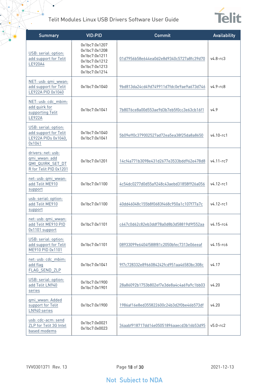$\bullet$ 



| <b>Summary</b>                                                                    | <b>VID:PID</b>                                                                                     | Commit                                   | Availability  |
|-----------------------------------------------------------------------------------|----------------------------------------------------------------------------------------------------|------------------------------------------|---------------|
| USB: serial: option:<br>add support for Telit<br>LE920A4                          | 0x1bc7:0x1207<br>0x1bc7:0x1208<br>0x1bc7:0x1211<br>0x1bc7:0x1212<br>0x1bc7:0x1213<br>0x1bc7:0x1214 | 01d7956b58e644ea0d2e8d9340c5727a8fc39d70 | $v4.8 - rc3$  |
| NET: usb: qmi_wwan:<br>add support for Telit<br>LE922A PID 0x1040                 | 0x1bc7:0x1040                                                                                      | 9bd813da24cd49d749911d7fdc0e9ae9a673d746 | $v4.9 - rc8$  |
| NET: usb: cdc_mbim:<br>add quirk for<br>supporting Telit<br><b>LE922A</b>         | 0x1bc7:0x1041                                                                                      | 7b8076ce8a00d553ae9d3b7eb5f0cc3e63cb16f1 | V4.9          |
| USB: serial: option:<br>add support for Telit<br>LE922A PIDs 0x1040,<br>0x1041    | 0x1bc7:0x1040<br>0x1bc7:0x1041                                                                     | 5b09eff0c379002527ad72ea5ea38f25da8a8650 | $v4.10$ -rc1  |
| drivers: net: usb:<br>qmi_wwan: add<br>QMI QUIRK SET DT<br>R for Telit PID 0x1201 | 0x1bc7:0x1201                                                                                      | 14cf4a771b3098e431d2677e3533bdd962e478d8 | $v4.11-rc7$   |
| net: usb: qmi_wwan:<br>add Telit ME910<br>support                                 | 0x1bc7:0x1100                                                                                      | 4c54dc0277d0d55a9248c43aebd31858f926a056 | $v4.12 - rc1$ |
| usb: serial: option:<br>add Telit ME910<br>support                                | 0x1bc7:0x1100                                                                                      | 40dd46048c155b8f0683f468c950a1c107f77a7c | $v4.12 - rc1$ |
| net: usb: qmi_wwan:<br>add Telit ME910 PID<br>0x1101 support                      | 0x1bc7:0x1101                                                                                      | c647c0d62c82eb3ddf78a0d8b3d58819d9f552aa | v4.15-rc4     |
| USB: serial: option:<br>add support for Telit<br>ME910 PID 0x1101                 | 0x1bc7:0x1101                                                                                      | 08933099e6404f588f81c2050bfec7313e06eeaf | v4.15-rc6     |
| net: usb: cdc_mbim:<br>add flag<br>FLAG_SEND_ZLP                                  | 0x1bc7:0x1041                                                                                      | 9f7c728332e8966084242fcd951aa46583bc308c | v4.17         |
| USB: serial: option:<br>add Telit LN940<br>series                                 | 0x1bc7:0x1900<br>0x1bc7:0x1901                                                                     | 28a86092b1753b802ef7e3de8a4c4a69a9c1bb03 | v4.20         |
| gmi_wwan: Added<br>support for Telit<br>LN940 series                              | 0x1bc7:0x1900                                                                                      | 1986af16e8ed355822600c24b3d2f0be46b573df | v4.20         |
| usb: cdc-acm: send<br>ZLP for Telit 3G Intel<br>based modems                      | 0x1bc7:0x0021<br>0x1bc7:0x0023                                                                     | 34aabf918717dd14e05051896aaecd3b16b53d95 | $v5.0 - rc2$  |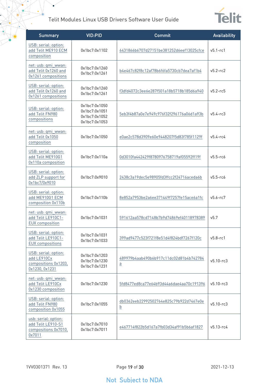$\bullet$ 



| <b>Summary</b>                                                                | <b>VID:PID</b>                                                   | Commit                                                     | Availability  |
|-------------------------------------------------------------------------------|------------------------------------------------------------------|------------------------------------------------------------|---------------|
| USB: serial: option:<br>add Telit ME910 ECM<br>composition                    | 0x1bc7:0x1102                                                    | 6431866b6707d27151be381252d6eef13025cfce                   | $v5.1 - rc1$  |
| net: usb: qmi_wwan:<br>add Telit 0x1260 and<br>0x1261 compositions            | 0x1bc7:0x1260<br>0x1bc7:0x1261                                   | b4e467c82f8c12af78b6f6fa5730cb7dea7af1b4                   | $v5.2 - rc2$  |
| USB: serial: option:<br>add Telit 0x1260 and<br>0x1261 compositions           | 0x1bc7:0x1260<br>0x1bc7:0x1261                                   | f3dfd4072c3ee6e287f501a18b5718b185d6a940                   | $v5.2 - rc5$  |
| USB: serial: option:<br>add Telit FN980<br>compositions                       | 0x1bc7:0x1050<br>0x1bc7:0x1051<br>0x1bc7:0x1052<br>0x1bc7:0x1053 | 5eb3f4b87a0e7e949c976f32f296176a06d1a93b                   | $v5.4 - rc3$  |
| net: usb: qmi_wwan:<br>add Telit 0x1050<br>composition                        | 0x1bc7:0x1050                                                    | e0ae2c578d3909e60e9448207f5d83f785f1129f                   | $v5.4 - rc4$  |
| USB: serial: option:<br>add Telit ME910G1<br>0x110a composition               | 0x1bc7:0x110a                                                    | 0d3010fa442429f8780976758719af05592ff19f                   | $v5.5-rc6$    |
| USB: serial: option:<br>add ZLP support for<br>0x1bc7/0x9010                  | 0x1bc7:0x9010                                                    | 2438c3a19dec5e98905fd3ffcc2f24716aceda6b                   | $v5.5-rc6$    |
| USB: serial: option:<br>add ME910G1 ECM<br>composition 0x110b                 | 0x1bc7:0x110b                                                    | 8e852a7953be2a6ee371449f7257fe15ace6a1fc                   | $v5.6 - rc7$  |
| net: usb: qmi_wwan:<br>add Telit LE910C1-<br><b>EUX</b> composition           | 0x1bc7:0x1031                                                    | 591612aa578cd7148b7b9d74869ef40118978389                   | v5.7          |
| USB: serial: option:<br>add Telit LE910C1-<br><b>EUX</b> compositions         | 0x1bc7:0x1031<br>0x1bc7:0x1033                                   | 399ad9477c523f721f8e51d4f824bdf7267f120c                   | $v5.8-rc1$    |
| USB: serial: option:<br>add LE910Cx<br>compositions 0x1203,<br>0x1230, 0x1231 | 0x1bc7:0x1203<br>0x1bc7:0x1230<br>0x1bc7:0x1231                  | 489979b4aab490b6b917c11dc02d81b4b742784<br>$\underline{a}$ | $v5.10 - rc3$ |
| net: usb: qmi_wwan:<br>add Telit LE910Cx<br>0x1230 composition                | 0x1bc7:0x1230                                                    | 5fd8477ed8ca77e64b93d44a6dae4aa70c191396                   | $v5.10 - rc3$ |
| USB: serial: option:<br>add Telit FN980<br>composition 0x1055                 | 0x1bc7:0x1055                                                    | db0362eeb22992502764e825c79b922d7467e0e<br>$\underline{b}$ | $v5.10 - rc3$ |
| usb: serial: option:<br>add Telit LE910-S1<br>compositions 0x7010,<br>0x7011  | 0x1bc7:0x7010<br>0x1bc7:0x7011                                   | e467714f822b5d167a7fb03d34af91b5b6af1827                   | $v5.13 - rc4$ |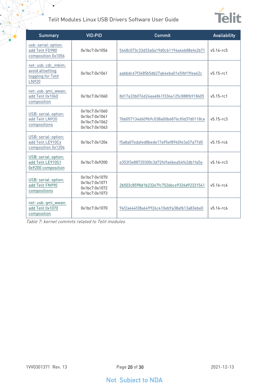¥



| <b>Summary</b>                                                         | <b>VID:PID</b>                                                   | Commit                                   | <b>Availability</b> |
|------------------------------------------------------------------------|------------------------------------------------------------------|------------------------------------------|---------------------|
| usb: serial: option:<br>add Telit FD980<br>composition 0x1056          | 0x1bc7:0x1056                                                    | 5648c073c33d33a0a19d0cb1194a4eb88efe2b71 | $v5.14 - r65$       |
| net: usb: cdc_mbim:<br>avoid altsetting<br>toggling for Telit<br>LN920 | 0x1bc7:0x1061                                                    | aabbdc67f3485b5db27ab4eba01e5fbf1ffea62c | $v5.15 - rc1$       |
| net: usb: qmi wwan:<br>add Telit 0x1060<br>composition                 | 0x1bc7:0x1060                                                    | 8d17a33b076d24aa4861f336a125c888fb918605 | $v5.15 - rc1$       |
| USB: serial: option:<br>add Telit LN920<br>compositions                | 0x1bc7:0x1060<br>0x1bc7:0x1061<br>0x1bc7:0x1062<br>0x1bc7:0x1063 | 7bb057134d609b9c038a00b6876cf0d37d0118ce | $v5.15 - rc3$       |
| USB: serial: option:<br>add Telit LE910Cx<br>composition 0x1204        | 0x1hc7:0x1204                                                    | f5a8a07edafed8bede17a95ef8940fe3a57a77d5 | $v5.15 - r66$       |
| USB: serial: option:<br>add Telit LE910S1<br>0x9200 composition        | 0x1bc7:0x9200                                                    | e353f3e88720300c3d72f49a4bea54f42db1fa5e | $v5.16 - rc3$       |
| USB: serial: option:<br>add Telit FN990<br>compositions                | 0x1bc7:0x1070<br>0x1bc7:0x1071<br>0x1bc7:0x1072<br>0x1bc7:0x1073 | 2b503c8598d1b232e7fc7526bce9326d92331541 | $v5.16 - r6$        |
| net: usb: qmi_wwan:<br>add Telit 0x1070<br>composition                 | 0x1bc7:0x1070                                                    | 94f2a444f28a649926c410eb9a38afb13a83ebe0 | $v5.16 - r6$        |

Table 7: kernel commits related to Telit modules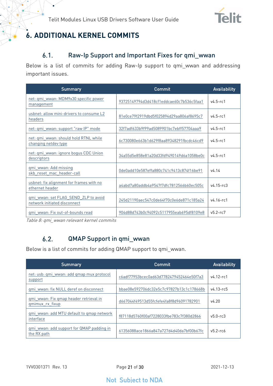

## <span id="page-20-1"></span><span id="page-20-0"></span>**6. ADDITIONAL KERNEL COMMITS**

#### Raw-Ip Support and Important Fixes for qmi\_wwan  $6.1.$

Below is a list of commits for adding Raw-Ip support to qmi\_wwan and addressing important issues.

| <b>Summary</b>                                                       | Commit                                   | <b>Availability</b> |
|----------------------------------------------------------------------|------------------------------------------|---------------------|
| net: qmi_wwan: MDM9x30 specific power<br>management                  | 93725149794d3d418cf1eddcae60c7b536c5faa1 | $v4.5-rc1$          |
| usbnet: allow mini-drivers to consume L2<br>headers                  | 81e0ce79f2919dbd5f025894d29aa806af8695c7 | $v4.5 - r c1$       |
| net: qmi_wwan: support "raw IP" mode                                 | 32f7adf633b9f99ad5089901bc7ebff57704aaa9 | $v4.5-rc1$          |
| net: qmi_wwan: should hold RTNL while<br>changing netdev type        | 6c730080e663b1d629f8aa89348291fbcdc46cd9 | $v4.5-rc1$          |
| net: qmi_wwan: ignore bogus CDC Union<br>descriptors                 | 34a55d5e858e81a20d33fd9490149d6a1058be0c | $v4.5 - r c1$       |
| qmi_wwan: Add missing<br>skb_reset_mac_header-call                   | 0de0add10e587effa880c741c9413c874f16be91 | v4.14               |
| usbnet: fix alignment for frames with no<br>ethernet header          | a4abd7a80addb4a9547f7dfc7812566b60ec505c | $v4.15 - rc3$       |
| gmi wwan: set FLAG SEND ZLP to avoid<br>network initiated disconnect | 245d21190aec547c0de64f70c0e6de871c185a24 | $v4.16 - r c1$      |
| qmi wwan: Fix out-of-bounds read                                     | 904d88d743b0c94092c5117955eab695df8109e8 | $v5.2 - rc7$        |

<span id="page-20-2"></span>Table 8: qmi\_wwan relevant kernel commits

#### $6.2.$ QMAP Support in qmi\_wwan

Below is a list of commits for adding QMAP support to qmi\_wwan.

| Summary                                                   | Commit                                   | <b>Availability</b> |
|-----------------------------------------------------------|------------------------------------------|---------------------|
| net: usb: qmi wwan: add qmap mux protocol<br>support      | c6adf77953bcec0ad63d7782479452464e50f7a3 | $v4.12 - r c1$      |
| gmi wwan: fix NULL deref on disconnect                    | bbae08e592706dc32e5c7c97827b13c1c178668b | $v4.13 - r65$       |
| gmi wwan: Fix gmap header retrieval in<br>gmimux rx fixup | d667044f49513d55fcfefe4fa8f8d96091782901 | v4.20               |
| qmi wwan: add MTU default to qmap network<br>interface    | f87118d5760f00af7228033fbe783c7f380d2866 | $v5.0 - rc3$        |
| gmi wwan: add support for QMAP padding in<br>the RX path  | 61356088ace1866a847a727d4d40da7bf00b67fc | $v5.2 - r66$        |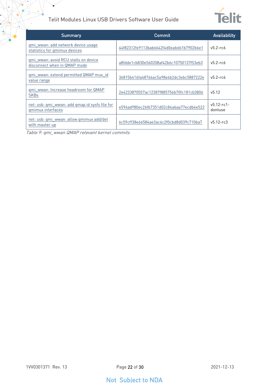

| <b>Summary</b>                                                       | Commit                                   | Availability               |
|----------------------------------------------------------------------|------------------------------------------|----------------------------|
| gmi_wwan: add network device usage<br>statistics for gmimux devices  | 44f82312fe9113bab6642f4d0eab6b1b7902b6e1 | $v5.2 - r66$               |
| gmi wwan: avoid RCU stalls on device<br>disconnect when in QMAP mode | a8fdde1cb830e560208af42b6c10750137f53eb3 | $v5.2 - rcb$               |
| qmi wwan: extend permitted QMAP mux id<br>value range                | 36815b416fa48766ac5a98e4b2dc3ebc5887222e | $v5.2 - rcb$               |
| gmi wwan: Increase headroom for QMAP<br><b>SKBs</b>                  | 2e4233870557ac12387f885756b70fc181cb3806 | v5.12                      |
| net: usb: qmi_wwan: add qmap id sysfs file for<br>gmimux interfaces  | e594ad980ec26fb7351d02c84abaa77ecdb4e522 | $v5.12 - rc1 -$<br>dontuse |
| net: usb: qmi wwan: allow qmimux add/del<br>with master up           | 6c59cff38e66584ae3ac6c2f0cbd8d039c710ba7 | $v5.12 - rc3$              |

Table 9: qmi\_wwan QMAP relevant kernel commits

 $\bullet$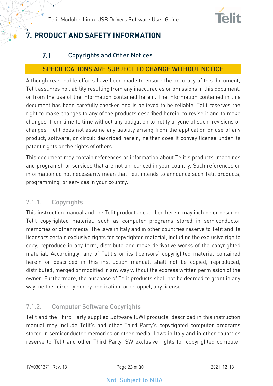

## <span id="page-22-1"></span><span id="page-22-0"></span>**7. PRODUCT AND SAFETY INFORMATION**

#### $7.1.$ Copyrights and Other Notices

#### SPECIFICATIONS ARE SUBJECT TO CHANGE WITHOUT NOTICE

Although reasonable efforts have been made to ensure the accuracy of this document, Telit assumes no liability resulting from any inaccuracies or omissions in this document, or from the use of the information contained herein. The information contained in this document has been carefully checked and is believed to be reliable. Telit reserves the right to make changes to any of the products described herein, to revise it and to make changes from time to time without any obligation to notify anyone of such revisions or changes. Telit does not assume any liability arising from the application or use of any product, software, or circuit described herein; neither does it convey license under its patent rights or the rights of others.

This document may contain references or information about Telit's products (machines and programs), or services that are not announced in your country. Such references or information do not necessarily mean that Telit intends to announce such Telit products, programming, or services in your country.

### <span id="page-22-2"></span>7.1.1. Copyrights

This instruction manual and the Telit products described herein may include or describe Telit copyrighted material, such as computer programs stored in semiconductor memories or other media. The laws in Italy and in other countries reserve to Telit and its licensors certain exclusive rights for copyrighted material, including the exclusive righ to copy, reproduce in any form, distribute and make derivative works of the copyrighted material. Accordingly, any of Telit's or its licensors' copyrighted material contained herein or described in this instruction manual, shall not be copied, reproduced, distributed, merged or modified in any way without the express written permission of the owner. Furthermore, the purchase of Telit products shall not be deemed to grant in any way, neither directly nor by implication, or estoppel, any license.

### <span id="page-22-3"></span>7.1.2. Computer Software Copyrights

Telit and the Third Party supplied Software (SW) products, described in this instruction manual may include Telit's and other Third Party's copyrighted computer programs stored in semiconductor memories or other media. Laws in Italy and in other countries reserve to Telit and other Third Party, SW exclusive rights for copyrighted computer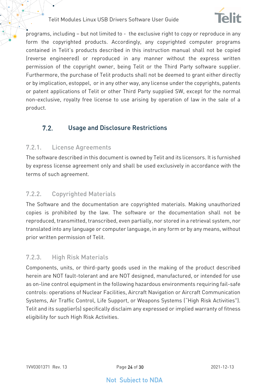

programs, including – but not limited to - the exclusive right to copy or reproduce in any form the copyrighted products. Accordingly, any copyrighted computer programs contained in Telit's products described in this instruction manual shall not be copied (reverse engineered) or reproduced in any manner without the express written permission of the copyright owner, being Telit or the Third Party software supplier. Furthermore, the purchase of Telit products shall not be deemed to grant either directly or by implication, estoppel, or in any other way, any license under the copyrights, patents or patent applications of Telit or other Third Party supplied SW, except for the normal non-exclusive, royalty free license to use arising by operation of law in the sale of a product.

#### <span id="page-23-0"></span> $7.2.$ Usage and Disclosure Restrictions

#### <span id="page-23-1"></span>7.2.1. License Agreements

The software described in this document is owned by Telit and its licensors. It is furnished by express license agreement only and shall be used exclusively in accordance with the terms of such agreement.

#### <span id="page-23-2"></span>7.2.2. Copyrighted Materials

The Software and the documentation are copyrighted materials. Making unauthorized copies is prohibited by the law. The software or the documentation shall not be reproduced, transmitted, transcribed, even partially, nor stored in a retrieval system, nor translated into any language or computer language, in any form or by any means, without prior written permission of Telit.

#### <span id="page-23-3"></span>7.2.3. High Risk Materials

Components, units, or third-party goods used in the making of the product described herein are NOT fault-tolerant and are NOT designed, manufactured, or intended for use as on-line control equipment in the following hazardous environments requiring fail-safe controls: operations of Nuclear Facilities, Aircraft Navigation or Aircraft Communication Systems, Air Traffic Control, Life Support, or Weapons Systems ("High Risk Activities"). Telit and its supplier(s) specifically disclaim any expressed or implied warranty of fitness eligibility for such High Risk Activities.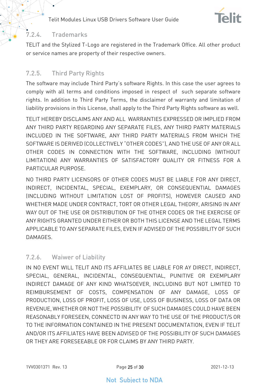

#### <span id="page-24-0"></span>7.2.4. Trademarks

TELIT and the Stylized T-Logo are registered in the Trademark Office. All other product or service names are property of their respective owners.

### <span id="page-24-1"></span>7.2.5. Third Party Rights

The software may include Third Party's software Rights. In this case the user agrees to comply with all terms and conditions imposed in respect of such separate software rights. In addition to Third Party Terms, the disclaimer of warranty and limitation of liability provisions in this License, shall apply to the Third Party Rights software as well.

TELIT HEREBY DISCLAIMS ANY AND ALL WARRANTIES EXPRESSED OR IMPLIED FROM ANY THIRD PARTY REGARDING ANY SEPARATE FILES, ANY THIRD PARTY MATERIALS INCLUDED IN THE SOFTWARE, ANY THIRD PARTY MATERIALS FROM WHICH THE SOFTWARE IS DERIVED (COLLECTIVELY "OTHER CODES"), AND THE USE OF ANY OR ALL OTHER CODES IN CONNECTION WITH THE SOFTWARE, INCLUDING (WITHOUT LIMITATION) ANY WARRANTIES OF SATISFACTORY QUALITY OR FITNESS FOR A PARTICULAR PURPOSE.

NO THIRD PARTY LICENSORS OF OTHER CODES MUST BE LIABLE FOR ANY DIRECT, INDIRECT, INCIDENTAL, SPECIAL, EXEMPLARY, OR CONSEQUENTIAL DAMAGES (INCLUDING WITHOUT LIMITATION LOST OF PROFITS), HOWEVER CAUSED AND WHETHER MADE UNDER CONTRACT, TORT OR OTHER LEGAL THEORY, ARISING IN ANY WAY OUT OF THE USE OR DISTRIBUTION OF THE OTHER CODES OR THE EXERCISE OF ANY RIGHTS GRANTED UNDER EITHER OR BOTH THIS LICENSE AND THE LEGAL TERMS APPLICABLE TO ANY SEPARATE FILES, EVEN IF ADVISED OF THE POSSIBILITY OF SUCH DAMAGES.

#### <span id="page-24-2"></span>7.2.6. Waiwer of Liability

IN NO EVENT WILL TELIT AND ITS AFFILIATES BE LIABLE FOR AY DIRECT, INDIRECT, SPECIAL, GENERAL, INCIDENTAL, CONSEQUENTIAL, PUNITIVE OR EXEMPLARY INDIRECT DAMAGE OF ANY KIND WHATSOEVER, INCLUDING BUT NOT LIMITED TO REIMBURSEMENT OF COSTS, COMPENSATION OF ANY DAMAGE, LOSS OF PRODUCTION, LOSS OF PROFIT, LOSS OF USE, LOSS OF BUSINESS, LOSS OF DATA OR REVENUE, WHETHER OR NOT THE POSSIBILITY OF SUCH DAMAGES COULD HAVE BEEN REASONABLY FORESEEN, CONNECTD IN ANY WAY TO THE USE OF THE PRODUCT/S OR TO THE INFORMATION CONTAINED IN THE PRESENT DOCUMENTATION, EVEN IF TELIT AND/OR ITS AFFILIATES HAVE BEEN ADVISED OF THE POSSIBILITY OF SUCH DAMAGES OR THEY ARE FORESEEABLE OR FOR CLAIMS BY ANY THIRD PARTY.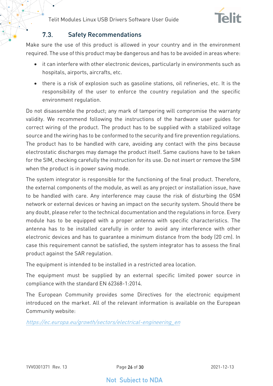

#### $7.3$ Safety Recommendations

<span id="page-25-0"></span>Make sure the use of this product is allowed in your country and in the environment required. The use of this product may be dangerous and has to be avoided in areas where:

- it can interfere with other electronic devices, particularly in environments such as hospitals, airports, aircrafts, etc.
- there is a risk of explosion such as gasoline stations, oil refineries, etc. It is the responsibility of the user to enforce the country regulation and the specific environment regulation.

Do not disassemble the product; any mark of tampering will compromise the warranty validity. We recommend following the instructions of the hardware user guides for correct wiring of the product. The product has to be supplied with a stabilized voltage source and the wiring has to be conformed to the security and fire prevention regulations. The product has to be handled with care, avoiding any contact with the pins because electrostatic discharges may damage the product itself. Same cautions have to be taken for the SIM, checking carefully the instruction for its use. Do not insert or remove the SIM when the product is in power saving mode.

The system integrator is responsible for the functioning of the final product. Therefore, the external components of the module, as well as any project or installation issue, have to be handled with care. Any interference may cause the risk of disturbing the GSM network or external devices or having an impact on the security system. Should there be any doubt, please refer to the technical documentation and the regulations in force. Every module has to be equipped with a proper antenna with specific characteristics. The antenna has to be installed carefully in order to avoid any interference with other electronic devices and has to guarantee a minimum distance from the body (20 cm). In case this requirement cannot be satisfied, the system integrator has to assess the final product against the SAR regulation.

The equipment is intended to be installed in a restricted area location.

The equipment must be supplied by an external specific limited power source in compliance with the standard EN 62368-1:2014.

The European Community provides some Directives for the electronic equipment introduced on the market. All of the relevant information is available on the European Community website:

[https://ec.europa.eu/growth/sectors/electrical-engineering\\_en](https://ec.europa.eu/growth/sectors/electrical-engineering_en)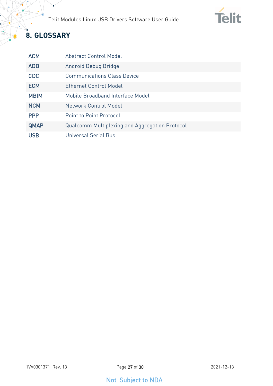

## <span id="page-26-0"></span>**8. GLOSSARY**

 $\bullet$ 

| <b>ACM</b>  | Abstract Control Model                                |
|-------------|-------------------------------------------------------|
| <b>ADB</b>  | Android Debug Bridge                                  |
| <b>CDC</b>  | <b>Communications Class Device</b>                    |
| <b>ECM</b>  | <b>Ethernet Control Model</b>                         |
| <b>MBIM</b> | Mobile Broadband Interface Model                      |
| <b>NCM</b>  | Network Control Model                                 |
| <b>PPP</b>  | <b>Point to Point Protocol</b>                        |
| <b>QMAP</b> | <b>Qualcomm Multiplexing and Aggregation Protocol</b> |
| <b>USB</b>  | Universal Serial Bus                                  |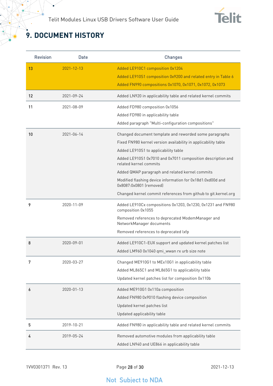

## <span id="page-27-0"></span>**9. DOCUMENT HISTORY**

¥

| <b>Revision</b> | Date             | <b>Changes</b>                                                                        |
|-----------------|------------------|---------------------------------------------------------------------------------------|
| 13              | $2021 - 12 - 13$ | Added LE910C1 composition 0x1204                                                      |
|                 |                  | Added LE910S1 composition 0x9200 and related entry in Table 6                         |
|                 |                  | Added FN990 compositions 0x1070, 0x1071, 0x1072, 0x1073                               |
| 12              | 2021-09-24       | Added LN920 in applicability table and related kernel commits                         |
| 11              | 2021-08-09       | Added FD980 composition 0x1056                                                        |
|                 |                  | Added FD980 in applicability table                                                    |
|                 |                  | Added paragraph "Multi-configuration compositions"                                    |
| 10              | 2021-06-14       | Changed document template and reworded some paragraphs                                |
|                 |                  | Fixed FN980 kernel version availability in applicability table                        |
|                 |                  | Added LE910S1 to applicability table                                                  |
|                 |                  | Added LE910S1 0x7010 and 0x7011 composition description and<br>related kernel commits |
|                 |                  | Added QMAP paragraph and related kernel commits                                       |
|                 |                  | Modified flashing device information for 0x18d1:0xd00d and<br>0x8087:0x0801 (removed) |
|                 |                  | Changed kernel commit references from github to git.kernel.org                        |
| 9               | 2020-11-09       | Added LE910Cx compositions 0x1203, 0x1230, 0x1231 and FN980<br>composition 0x1055     |
|                 |                  | Removed references to deprecated ModemManager and<br>NetworkManager documents         |
|                 |                  | Removed references to deprecated lxfp                                                 |
| 8               | 2020-09-01       | Added LE910C1-EUX support and updated kernel patches list                             |
|                 |                  | Added LM960 0x1040 qmi_wwan rx urb size note                                          |
| 7               | 2020-03-27       | Changed ME910G1 to MEx10G1 in applicability table                                     |
|                 |                  | Added ML865C1 and ML865G1 to applicability table                                      |
|                 |                  | Updated kernel patches list for composition 0x110b                                    |
| 6               | 2020-01-13       | Added ME910G1 0x110a composition                                                      |
|                 |                  | Added FN980 0x9010 flashing device composition                                        |
|                 |                  | Updated kernel patches list                                                           |
|                 |                  | Updated applicability table                                                           |
| 5               | 2019-10-21       | Added FN980 in applicability table and related kernel commits                         |
| 4               | 2019-05-24       | Removed automotive modules from applicability table                                   |
|                 |                  | Added LN940 and UE866 in applicability table                                          |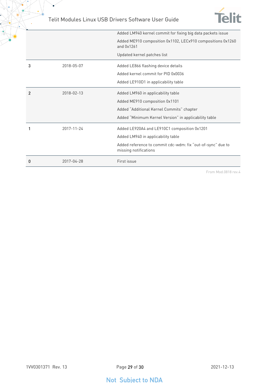

 $\bullet$ 



|                |            | Added LM940 kernel commit for fixing big data packets issue                          |
|----------------|------------|--------------------------------------------------------------------------------------|
|                |            | Added ME910 composition 0x1102, LECx910 compositions 0x1260<br>and 0x1261            |
|                |            | Updated kernel patches list                                                          |
| 3              | 2018-05-07 | Added LE866 flashing device details                                                  |
|                |            | Added kernel commit for PID 0x0036                                                   |
|                |            | Added LE910D1 in applicability table                                                 |
| $\overline{2}$ | 2018-02-13 | Added LM960 in applicability table                                                   |
|                |            | Added ME910 composition 0x1101                                                       |
|                |            | Added "Additional Kernel Commits" chapter                                            |
|                |            | Added "Minimum Kernel Version" in applicability table                                |
|                | 2017-11-24 | Added LE920A4 and LE910C1 composition 0x1201                                         |
|                |            | Added LM940 in applicability table                                                   |
|                |            | Added reference to commit cdc-wdm: fix "out-of-sync" due to<br>missing notifications |
| 0              | 2017-04-28 | First issue                                                                          |

From Mod.0818 rev.4